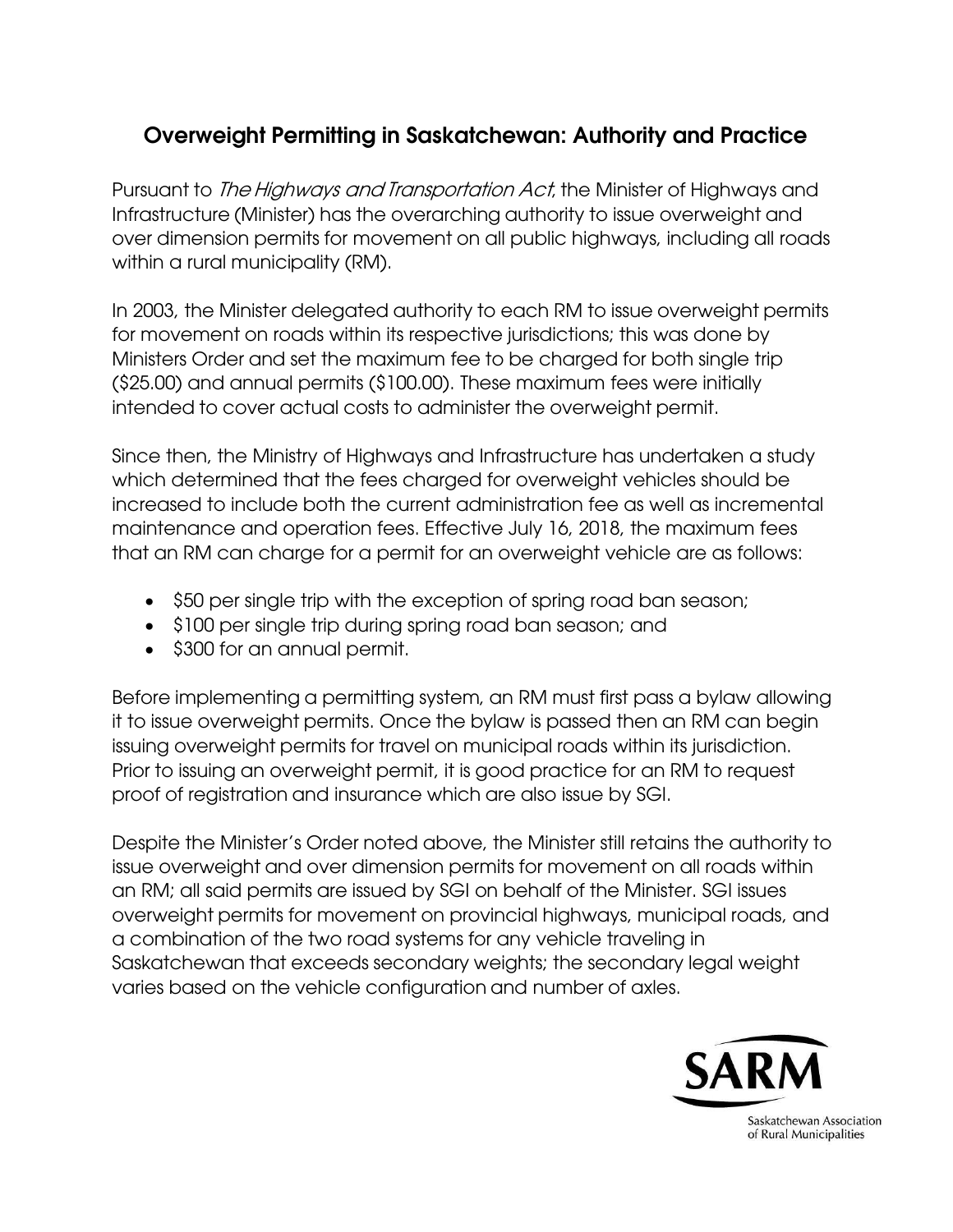## Overweight Permitting in Saskatchewan: Authority and Practice

Pursuant to *The Highways and Transportation Act*, the Minister of Highways and Infrastructure (Minister) has the overarching authority to issue overweight and over dimension permits for movement on all public highways, including all roads within a rural municipality (RM).

In 2003, the Minister delegated authority to each RM to issue overweight permits for movement on roads within its respective jurisdictions; this was done by Ministers Order and set the maximum fee to be charged for both single trip (\$25.00) and annual permits (\$100.00). These maximum fees were initially intended to cover actual costs to administer the overweight permit.

Since then, the Ministry of Highways and Infrastructure has undertaken a study which determined that the fees charged for overweight vehicles should be increased to include both the current administration fee as well as incremental maintenance and operation fees. Effective July 16, 2018, the maximum fees that an RM can charge for a permit for an overweight vehicle are as follows:

- \$50 per single trip with the exception of spring road ban season;
- \$100 per single trip during spring road ban season; and
- \$300 for an annual permit.

Before implementing a permitting system, an RM must first pass a bylaw allowing it to issue overweight permits. Once the bylaw is passed then an RM can begin issuing overweight permits for travel on municipal roads within its jurisdiction. Prior to issuing an overweight permit, it is good practice for an RM to request proof of registration and insurance which are also issue by SGI.

Despite the Minister's Order noted above, the Minister still retains the authority to issue overweight and over dimension permits for movement on all roads within an RM; all said permits are issued by SGI on behalf of the Minister. SGI issues overweight permits for movement on provincial highways, municipal roads, and a combination of the two road systems for any vehicle traveling in Saskatchewan that exceeds secondary weights; the secondary legal weight varies based on the vehicle configuration and number of axles.



Saskatchewan Association of Rural Municipalities